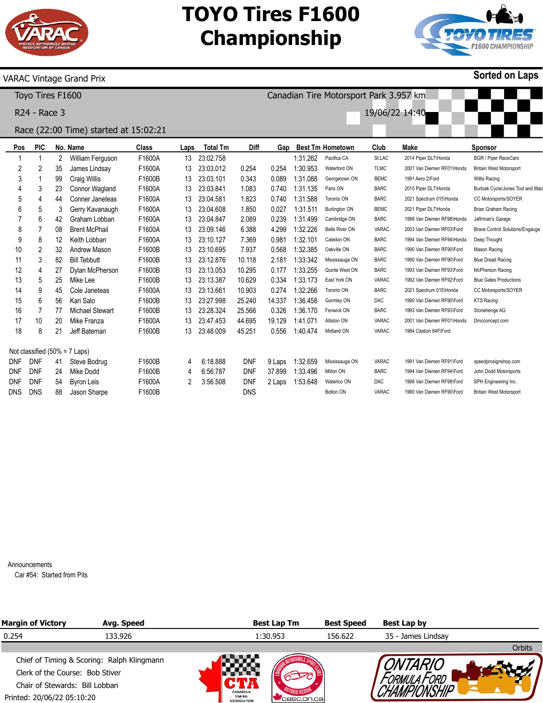

## **TOYO Tires F1600 Championship**

Canadian Tire Motorsport Park 3.957 km

19/06/22 14:40



**Sorted on Laps**

#### VARAC Vintage Grand Prix

Toyo Tires F1600

R24 - Race 3

### Race (22:00 Time) started at 15:02:21

| Pos                              | <b>PIC</b>     |    | No. Name               | Class  | Laps | <b>Total Tm</b> | Diff       | Gap    |          | <b>Best Tm Hometown</b> | Club         | Make                       | <b>Sponsor</b>                         |
|----------------------------------|----------------|----|------------------------|--------|------|-----------------|------------|--------|----------|-------------------------|--------------|----------------------------|----------------------------------------|
|                                  | 1              | 2  | William Ferguson       | F1600A | 13   | 23:02.758       |            |        | 1:31.262 | Pacifica CA             | St.LAC       | 2014 Piper DL7\Honda       | <b>BGR / Piper RaceCars</b>            |
| 2                                | 2              | 35 | James Lindsay          | F1600A | 13   | 23:03.012       | 0.254      | 0.254  | 1:30.953 | Waterford ON            | <b>TLMC</b>  | 2001 Van Diemen RF01\Honda | <b>Britain West Motorsport</b>         |
| 3                                |                | 99 | Craig Willis           | F1600B | 13   | 23:03.101       | 0.343      | 0.089  | 1:31.088 | Georgetown ON           | <b>BEMC</b>  | 1991 Aero 2\Ford           | <b>Willis Racing</b>                   |
| 4                                | 3              | 23 | Connor Wagland         | F1600A | 13   | 23:03.841       | 1.083      | 0.740  | 1:31.135 | Paris ON                | <b>BARC</b>  | 2015 Piper DL7\Honda       | Burloak Cycle/Jones Tool and Mac       |
| 5                                | 4              | 44 | Conner Janeteas        | F1600A | 13   | 23:04.581       | 1.823      | 0.740  | 1:31.588 | Toronto ON              | <b>BARC</b>  | 2021 Spectrum 015\Honda    | CC Motorsports/SOYER                   |
| 6                                | 5              | 3  | Gerry Kavanaugh        | F1600A | 13   | 23:04.608       | 1.850      | 0.027  | 1:31.511 | <b>Burlington ON</b>    | <b>BEMC</b>  | 2021 Piper DL7\Honda       | Brian Graham Racing                    |
|                                  | 6              | 42 | Graham Lobban          | F1600A | 13   | 23:04.847       | 2.089      | 0.239  | 1:31.499 | Cambridge ON            | <b>BARC</b>  | 1998 Van Diemen RF98\Honda | Jaftrman's Garage                      |
| 8                                | 7              | 08 | <b>Brent McPhail</b>   | F1600A | 13   | 23:09.146       | 6.388      | 4.299  | 1:32.226 | <b>Belle River ON</b>   | VARAC        | 2003 Van Diemen RF03\Ford  | <b>Brave Control Solutions/Engauge</b> |
| 9                                | 8              | 12 | Keith Lobban           | F1600A | 13   | 23:10.127       | 7.369      | 0.981  | 1:32.101 | Caledon ON              | <b>BARC</b>  | 1994 Van Diemen RF94\Honda | Deep Thought                           |
| 10                               | 2              | 32 | Andrew Mason           | F1600B | 13   | 23:10.695       | 7.937      | 0.568  | 1:32.385 | Oakville ON             | <b>BARC</b>  | 1990 Van Diemen RF90\Ford  | Mason Racing                           |
| 11                               | 3              | 82 | <b>Bill Tebbutt</b>    | F1600B | 13   | 23:12.876       | 10.118     | 2.181  | 1:33.342 | Mississauga ON          | <b>BARC</b>  | 1990 Van Diemen RF90\Ford  | <b>Blue Dread Racing</b>               |
| 12                               | 4              | 27 | Dylan McPherson        | F1600B | 13   | 23:13.053       | 10.295     | 0.177  | 1:33.255 | Quinte West ON          | <b>BARC</b>  | 1993 Van Diemen RF93\Ford  | McPherson Racing                       |
| 13                               | 5              | 25 | Mike Lee               | F1600B | 13   | 23:13.387       | 10.629     | 0.334  | 1:33.173 | East York ON            | VARAC        | 1992 Van Diemen RF92\Ford  | <b>Blue Gates Productions</b>          |
| 14                               | 9              | 45 | Cole Janeteas          | F1600A | 13   | 23:13.661       | 10.903     | 0.274  | 1:32.266 | Toronto ON              | <b>BARC</b>  | 2021 Spectrum 015\Honda    | CC Motorsports/SOYER                   |
| 15                               | 6              | 56 | Kari Salo              | F1600B | 13   | 23:27.998       | 25.240     | 14.337 | 1:36.458 | Gormley ON              | <b>DAC</b>   | 1990 Van Diemen RF90\Ford  | <b>KTS Racing</b>                      |
| 16                               | $\overline{7}$ | 77 | <b>Michael Stewart</b> | F1600B | 13   | 23:28.324       | 25.566     | 0.326  | 1:36.170 | Fenwick ON              | <b>BARC</b>  | 1993 Van Diemen RF93\Ford  | Stonehenge AG                          |
| 17                               | 10             | 20 | Mike Franza            | F1600A | 13   | 23:47.453       | 44.695     | 19.129 | 1:41.071 | Alliston ON             | VARAC        | 2001 Van Diemen RF01\Honda | Dmcconcept.com                         |
| 18                               | 8              | 21 | Jeff Bateman           | F1600B | 13   | 23:48.009       | 45.251     | 0.556  | 1:40.474 | Midland ON              | VARAC        | 1984 Citation 84F\Ford     |                                        |
| Not classified $(50\% = 7$ Laps) |                |    |                        |        |      |                 |            |        |          |                         |              |                            |                                        |
| <b>DNF</b>                       | <b>DNF</b>     | 41 | Steve Bodrug           | F1600B | 4    | 6:18.888        | <b>DNF</b> | 9 Laps | 1:32.659 | Mississauga ON          | <b>VARAC</b> | 1991 Van Diemen RF91\Ford  | speedprosignshop.com                   |
| <b>DNF</b>                       | <b>DNF</b>     | 24 | Mike Dodd              | F1600B | 4    | 6:56.787        | <b>DNF</b> | 37.899 | 1:33.496 | Milton ON               | <b>BARC</b>  | 1994 Van Diemen RF94\Ford  | John Dodd Motorsports                  |
| <b>DNF</b>                       | <b>DNF</b>     | 54 | Byron Leis             | F1600A | 2    | 3:56.508        | <b>DNF</b> | 2 Laps | 1:53.648 | Waterloo ON             | <b>DAC</b>   | 1998 Van Diemen RF98\Ford  | SPH Engineering Inc.                   |
| <b>DNS</b>                       | <b>DNS</b>     | 88 | Jason Sharpe           | F1600B |      |                 | <b>DNS</b> |        |          | <b>Bolton ON</b>        | VARAC        | 1990 Van Diemen RF90\Ford  | <b>Britain West Motorsport</b>         |

Announcements

Car #54: Started from Pits

| <b>Margin of Victory</b>        | Avg. Speed                                 |                                                        | <b>Best Lap Tm</b> | <b>Best Speed</b> | Best Lap by        |        |
|---------------------------------|--------------------------------------------|--------------------------------------------------------|--------------------|-------------------|--------------------|--------|
| 0.254                           | 133.926                                    |                                                        | 1:30.953           | 156.622           | 35 - James Lindsav |        |
|                                 |                                            |                                                        |                    |                   |                    | Orbits |
|                                 | Chief of Timing & Scoring: Ralph Klingmann |                                                        |                    |                   |                    |        |
| Clerk of the Course: Bob Stiver |                                            |                                                        |                    |                   |                    |        |
| Chair of Stewards: Bill Lobban  |                                            |                                                        |                    |                   |                    |        |
| Printed: 20/06/22 05:10:20      |                                            | <b>CANADIAN</b><br><b>TIMING</b><br><b>ASSOCIATION</b> | casc.on.cal        |                   |                    |        |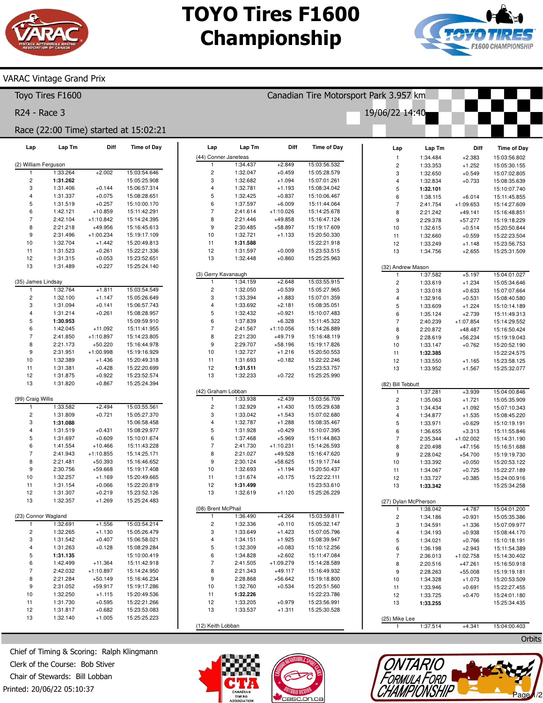# **TOYO Tires F1600 Championship**

Canadian Tire Motorsport Park 3.957 km

19/06/22 14:40



Orbits

Page

### **VARAC Vintage Grand Prix**

Toyo Tires F1600

R24 - Race 3

### Race (22:00 Time) started at 15:02:21

| Lap                  | Lap Tm   | Diff        | <b>Time of Day</b> | Lap                     | Lap Tm   | Diff        | <b>Time of Day</b> | Lap                      | Lap Tm               | Diff        | <b>Time of Day</b> |
|----------------------|----------|-------------|--------------------|-------------------------|----------|-------------|--------------------|--------------------------|----------------------|-------------|--------------------|
|                      |          |             |                    | (44) Conner Janeteas    |          |             |                    | $\mathbf{1}$             | 1:34.484             | $+2.383$    | 15:03:56.802       |
| (2) William Ferguson |          |             |                    | $\mathbf{1}$            | 1:34.437 | $+2.849$    | 15:03:56.532       | $\mathbf 2$              | 1:33.353             | $+1.252$    | 15:05:30.155       |
| $\mathbf{1}$         | 1:33.264 | $+2.002$    | 15:03:54.646       | $\overline{\mathbf{c}}$ | 1:32.047 | $+0.459$    | 15:05:28.579       | 3                        | 1:32.650             | $+0.549$    | 15:07:02.805       |
| $\sqrt{2}$           | 1:31.262 |             | 15:05:25.908       | 3                       | 1:32.682 | $+1.094$    | 15:07:01.261       | 4                        | 1:32.834             | $+0.733$    | 15:08:35.639       |
| 3                    | 1:31.406 | $+0.144$    | 15:06:57.314       | 4                       | 1:32.781 | $+1.193$    | 15:08:34.042       | $\mathbf 5$              | 1:32.101             |             | 15:10:07.740       |
| 4                    | 1:31.337 | $+0.075$    | 15:08:28.651       | 5                       | 1:32.425 | $+0.837$    | 15:10:06.467       | 6                        | 1:38.115             | $+6.014$    | 15:11:45.855       |
| 5                    | 1:31.519 | $+0.257$    | 15:10:00.170       | 6                       | 1:37.597 | $+6.009$    | 15:11:44.064       | $\overline{7}$           | 2:41.754             | $+1:09.653$ | 15:14:27.609       |
| 6                    | 1:42.121 | $+10.859$   | 15:11:42.291       | $\overline{7}$          | 2:41.614 | $+1:10.026$ | 15:14:25.678       | 8                        | 2:21.242             | $+49.141$   | 15:16:48.851       |
| 7                    | 2:42.104 | $+1:10.842$ | 15:14:24.395       | 8                       | 2:21.446 | $+49.858$   | 15:16:47.124       | 9                        | 2:29.378             | $+57.277$   | 15:19:18.229       |
| 8                    | 2:21.218 | $+49.956$   | 15:16:45.613       | 9                       | 2:30.485 | $+58.897$   | 15:19:17.609       | 10                       | 1:32.615             | $+0.514$    | 15:20:50.844       |
| 9                    | 2:31.496 | $+1:00.234$ | 15:19:17.109       | 10                      | 1:32.721 | $+1.133$    | 15:20:50.330       | 11                       | 1:32.660             | $+0.559$    | 15:22:23.504       |
| 10                   | 1:32.704 | $+1.442$    | 15:20:49.813       | 11                      | 1:31.588 |             | 15:22:21.918       | 12                       | 1:33.249             | $+1.148$    | 15:23:56.753       |
| 11                   | 1:31.523 | $+0.261$    | 15:22:21.336       | 12                      | 1:31.597 | $+0.009$    | 15:23:53.515       | 13                       | 1:34.756             | $+2.655$    | 15:25:31.509       |
| 12                   | 1:31.315 | $+0.053$    | 15:23:52.651       | 13                      | 1:32.448 | $+0.860$    | 15:25:25.963       |                          |                      |             |                    |
| 13                   | 1:31.489 | $+0.227$    | 15:25:24.140       |                         |          |             |                    |                          | (32) Andrew Mason    |             |                    |
|                      |          |             |                    | (3) Gerry Kavanaugh     |          |             |                    | $\mathbf{1}$             | 1:37.582             | $+5.197$    | 15:04:01.027       |
| (35) James Lindsay   |          |             |                    | $\mathbf{1}$            | 1:34.159 | $+2.648$    | 15:03:55.915       | $\overline{\mathbf{c}}$  | 1:33.619             | $+1.234$    | 15:05:34.646       |
| $\mathbf{1}$         | 1:32.764 | $+1.811$    | 15:03:54.549       | $\overline{\mathbf{c}}$ | 1:32.050 | $+0.539$    | 15:05:27.965       | 3                        | 1:33.018             | $+0.633$    | 15:07:07.664       |
| $\sqrt{2}$           | 1:32.100 | $+1.147$    | 15:05:26.649       | 3                       | 1:33.394 | $+1.883$    | 15:07:01.359       | $\overline{\mathbf{4}}$  | 1:32.916             | $+0.531$    | 15:08:40.580       |
| 3                    | 1:31.094 | $+0.141$    | 15:06:57.743       | 4                       | 1:33.692 | $+2.181$    | 15:08:35.051       | $\sqrt{5}$               | 1:33.609             | $+1.224$    | 15:10:14.189       |
| 4                    | 1:31.214 | $+0.261$    | 15:08:28.957       | 5                       | 1:32.432 | $+0.921$    | 15:10:07.483       | 6                        | 1:35.124             | $+2.739$    | 15:11:49.313       |
| 5                    | 1:30.953 |             | 15:09:59.910       | 6                       | 1:37.839 | $+6.328$    | 15:11:45.322       | $\overline{7}$           | 2:40.239             | $+1:07.854$ | 15:14:29.552       |
| 6                    | 1:42.045 | $+11.092$   | 15:11:41.955       | $\overline{7}$          | 2:41.567 | $+1:10.056$ | 15:14:26.889       | 8                        | 2:20.872             | $+48.487$   | 15:16:50.424       |
| 7                    | 2:41.850 | $+1:10.897$ | 15:14:23.805       | 8                       | 2:21.230 | $+49.719$   | 15:16:48.119       | 9                        | 2:28.619             | $+56.234$   | 15:19:19.043       |
| 8                    | 2:21.173 | $+50.220$   | 15:16:44.978       | 9                       | 2:29.707 | $+58.196$   | 15:19:17.826       | 10                       | 1:33.147             | $+0.762$    | 15:20:52.190       |
| 9                    | 2:31.951 | $+1:00.998$ | 15:19:16.929       | 10                      | 1:32.727 | $+1.216$    | 15:20:50.553       | 11                       | 1:32.385             |             | 15:22:24.575       |
| 10                   | 1:32.389 | $+1.436$    | 15:20:49.318       | 11                      | 1:31.693 | $+0.182$    | 15:22:22.246       | 12                       | 1:33.550             | $+1.165$    | 15:23:58.125       |
| 11                   | 1:31.381 | $+0.428$    | 15:22:20.699       | 12                      | 1:31.511 |             | 15:23:53.757       | 13                       | 1:33.952             | $+1.567$    | 15:25:32.077       |
| 12                   | 1:31.875 | $+0.922$    | 15:23:52.574       | 13                      | 1:32.233 | $+0.722$    | 15:25:25.990       |                          |                      |             |                    |
| 13                   | 1:31.820 | $+0.867$    | 15:25:24.394       |                         |          |             |                    | (82) Bill Tebbutt        |                      |             |                    |
|                      |          |             |                    | (42) Graham Lobban      |          |             |                    | $\mathbf{1}$             | 1:37.281             | $+3.939$    | 15:04:00.846       |
| (99) Craig Willis    |          |             |                    | $\mathbf{1}$            | 1:33.938 | $+2.439$    | 15:03:56.709       | $\overline{\mathbf{c}}$  | 1:35.063             | $+1.721$    | 15:05:35.909       |
| -1                   | 1:33.582 | $+2.494$    | 15:03:55.561       | $\overline{\mathbf{c}}$ | 1:32.929 | $+1.430$    | 15:05:29.638       | 3                        | 1:34.434             | $+1.092$    | 15:07:10.343       |
| $\sqrt{2}$           | 1:31.809 | $+0.721$    | 15:05:27.370       | 3                       | 1:33.042 | $+1.543$    | 15:07:02.680       | $\overline{\mathbf{4}}$  | 1:34.877             | $+1.535$    | 15:08:45.220       |
| 3                    | 1:31.088 |             | 15:06:58.458       | 4                       | 1:32.787 | $+1.288$    | 15:08:35.467       | $\mathbf 5$              | 1:33.971             | $+0.629$    | 15:10:19.191       |
| 4                    | 1:31.519 | $+0.431$    | 15:08:29.977       | 5                       | 1:31.928 | $+0.429$    | 15:10:07.395       | 6                        | 1:36.655             | $+3.313$    | 15:11:55.846       |
| 5                    | 1:31.697 | $+0.609$    | 15:10:01.674       | 6                       | 1:37.468 | $+5.969$    | 15:11:44.863       | $\overline{\mathcal{I}}$ | 2:35.344             | $+1:02.002$ | 15:14:31.190       |
| 6                    | 1:41.554 | $+10.466$   | 15:11:43.228       | $\overline{7}$          | 2:41.730 | $+1:10.231$ | 15:14:26.593       | 8                        | 2:20.498             | $+47.156$   | 15:16:51.688       |
| 7                    | 2:41.943 | $+1:10.855$ | 15:14:25.171       | 8                       | 2:21.027 | $+49.528$   | 15:16:47.620       | 9                        | 2:28.042             | $+54.700$   | 15:19:19.730       |
| 8                    | 2:21.481 | $+50.393$   | 15:16:46.652       | 9                       | 2:30.124 | $+58.625$   | 15:19:17.744       | 10                       | 1:33.392             | $+0.050$    | 15:20:53.122       |
| 9                    | 2:30.756 | +59.668     | 15:19:17.408       | 10                      | 1:32.693 | $+1.194$    | 15:20:50.437       | 11                       | 1:34.067             | $+0.725$    | 15:22:27.189       |
| 10                   | 1:32.257 | $+1.169$    | 15:20:49.665       | 11                      | 1:31.674 | $+0.175$    | 15:22:22.111       | 12                       | 1:33.727             | $+0.385$    | 15:24:00.916       |
| 11                   | 1:31.154 | $+0.066$    | 15:22:20.819       | 12                      | 1:31.499 |             | 15:23:53.610       | 13                       | 1:33.342             |             | 15:25:34.258       |
| 12                   | 1:31.307 | $+0.219$    | 15:23:52.126       | 13                      | 1:32.619 | $+1.120$    | 15:25:26.229       |                          |                      |             |                    |
| 13                   | 1:32.357 | $+1.269$    | 15:25:24.483       |                         |          |             |                    |                          | (27) Dylan McPherson |             |                    |
|                      |          |             |                    | (08) Brent McPhail      |          |             |                    | 1                        | 1:38.042             | $+4.787$    | 15:04:01.200       |
| (23) Connor Wagland  |          |             |                    | $\mathbf{1}$            | 1:36.490 | $+4.264$    | 15:03:59.811       | $\overline{\mathbf{c}}$  | 1:34.186             | $+0.931$    | 15:05:35.386       |
| -1                   | 1:32.691 | $+1.556$    | 15:03:54.214       | $\overline{\mathbf{c}}$ | 1:32.336 | $+0.110$    | 15:05:32.147       | 3                        | 1:34.591             | $+1.336$    | 15:07:09.977       |
| $\overline{c}$       | 1:32.265 | $+1.130$    | 15:05:26.479       | 3                       | 1:33.649 | $+1.423$    | 15:07:05.796       | $\overline{4}$           | 1:34.193             | $+0.938$    | 15:08:44.170       |
| 3                    | 1:31.542 | $+0.407$    | 15:06:58.021       | 4                       | 1:34.151 | $+1.925$    | 15:08:39.947       | 5                        | 1:34.021             | $+0.766$    | 15:10:18.191       |
| 4                    | 1:31.263 | $+0.128$    | 15:08:29.284       | 5                       | 1:32.309 | $+0.083$    | 15:10:12.256       | 6                        | 1:36.198             | $+2.943$    | 15:11:54.389       |
| 5                    | 1:31.135 |             | 15:10:00.419       | 6                       | 1:34.828 | $+2.602$    | 15:11:47.084       | $\overline{7}$           | 2:36.013             | $+1:02.758$ | 15:14:30.402       |
| 6                    | 1:42.499 | $+11.364$   | 15:11:42.918       | $\overline{7}$          | 2:41.505 | $+1:09.279$ | 15:14:28.589       | 8                        | 2:20.516             | $+47.261$   | 15:16:50.918       |
| 7                    | 2:42.032 | $+1:10.897$ | 15:14:24.950       | 8                       | 2:21.343 | $+49.117$   | 15:16:49.932       | 9                        | 2:28.263             | $+55.008$   | 15:19:19.181       |
| 8                    | 2:21.284 | $+50.149$   | 15:16:46.234       | 9                       | 2:28.868 | $+56.642$   | 15:19:18.800       | 10                       | 1:34.328             | $+1.073$    | 15:20:53.509       |
| 9                    | 2:31.052 | $+59.917$   | 15:19:17.286       | 10                      | 1:32.760 | $+0.534$    | 15:20:51.560       | 11                       | 1:33.946             | $+0.691$    | 15:22:27.455       |
| 10                   | 1:32.250 | $+1.115$    | 15:20:49.536       | 11                      | 1:32.226 |             | 15:22:23.786       | 12                       | 1:33.725             | $+0.470$    | 15:24:01.180       |
| 11                   | 1:31.730 | $+0.595$    | 15:22:21.266       | 12                      | 1:33.205 | $+0.979$    | 15:23:56.991       | 13                       | 1:33.255             |             | 15:25:34.435       |
| 12                   | 1:31.817 | $+0.682$    | 15:23:53.083       | 13                      | 1:33.537 | $+1.311$    | 15:25:30.528       |                          |                      |             |                    |
| 13                   | 1:32.140 | $+1.005$    | 15:25:25.223       |                         |          |             |                    | (25) Mike Lee            |                      |             |                    |
|                      |          |             |                    | (12) Keith Lobban       |          |             |                    | $\mathbf{1}$             | 1:37.514             | $+4.341$    | 15:04:00.403       |

Chief of Timing & Scoring: Ralph Klingmann Clerk of the Course: Bob Stiver Chair of Stewards: Bill Lobban Printed: 20/06/22 05:10:37





*ONTARIO<br>FORMULA FORD<br>HAMPIONSHI*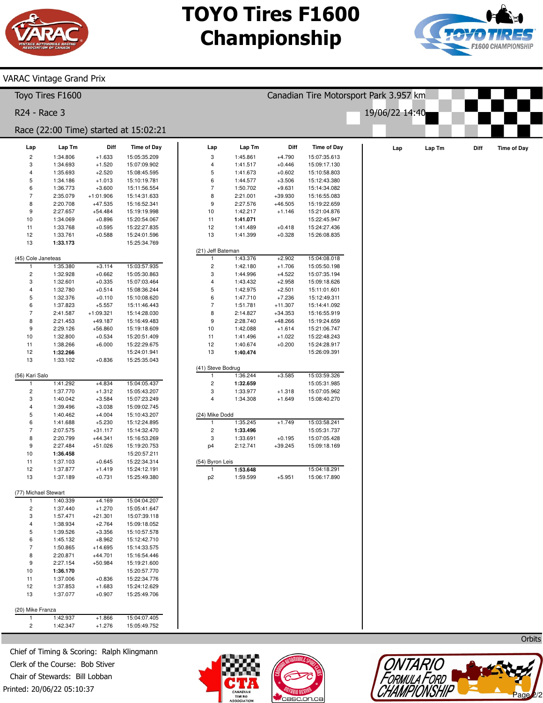

VARAC Vintage Grand Prix

## **TOYO Tires F1600 Championship**

Canadian Tire Motorsport Park 3.957 km

19/06/22 14:40



#### 2 3 4 5 6 **Lap Tm** 1:34.806 1:34.693 1:35.693 1:34.186 1:36.773 **Diff** +1.633 +1.520 +2.520 +1.013 +3.600 **Time of Day** 15:05:35.209 15:07:09.902 15:08:45.595 15:10:19.781 15:11:56.554 Toyo Tires F1600 R24 - Race 3 Race (22:00 Time) started at 15:02:21

| 8                    | 2:20.708 | $+47.535$ | 15:16:52.341 |
|----------------------|----------|-----------|--------------|
| 9                    | 2:27.657 | $+54.484$ | 15:19:19.998 |
| 10                   | 1:34.069 | $+0.896$  | 15:20:54.067 |
| 11                   | 1:33.768 | $+0.595$  | 15:22:27.835 |
| 12                   | 1:33.761 | $+0.588$  | 15:24:01.596 |
| 13                   | 1:33.173 |           | 15:25:34.769 |
|                      |          |           |              |
| (45) Cole Janeteas   |          |           |              |
| 1                    | 1:35.380 | $+3.114$  | 15:03:57.935 |
| $\overline{c}$       | 1:32.928 | $+0.662$  | 15:05:30.863 |
| 3                    | 1:32.601 | $+0.335$  | 15:07:03.464 |
| $\overline{4}$       | 1:32.780 | $+0.514$  | 15:08:36.244 |
| 5                    | 1:32.376 | $+0.110$  | 15:10:08.620 |
| 6                    | 1:37.823 | $+5.557$  | 15:11:46.443 |
| 7                    | 2:41.587 | +1:09.321 | 15:14:28.030 |
| 8                    | 2:21.453 | $+49.187$ | 15:16:49.483 |
| 9                    | 2:29.126 | $+56.860$ | 15:19:18.609 |
| 10                   | 1:32.800 | $+0.534$  | 15:20:51.409 |
| 11                   | 1:38.266 | $+6.000$  | 15:22:29.675 |
| 12                   | 1:32.266 |           | 15:24:01.941 |
| 13                   | 1:33.102 | $+0.836$  | 15:25:35.043 |
|                      |          |           |              |
| (56) Kari Salo<br>1  | 1:41.292 | $+4.834$  | 15:04:05.437 |
| $\overline{2}$       | 1:37.770 | $+1.312$  | 15:05:43.207 |
| 3                    | 1:40.042 | $+3.584$  | 15:07:23.249 |
| $\overline{4}$       | 1:39.496 | $+3.038$  | 15:09:02.745 |
| 5                    | 1:40.462 | $+4.004$  | 15:10:43.207 |
| 6                    | 1:41.688 | $+5.230$  | 15:12:24.895 |
| 7                    | 2:07.575 | $+31.117$ | 15:14:32.470 |
| 8                    | 2:20.799 | $+44.341$ | 15:16:53.269 |
| 9                    | 2:27.484 | $+51.026$ | 15:19:20.753 |
| 10                   | 1:36.458 |           | 15:20:57.211 |
| 11                   | 1:37.103 | $+0.645$  | 15:22:34.314 |
| 12                   | 1:37.877 | $+1.419$  | 15:24:12.191 |
| 13                   | 1:37.189 | $+0.731$  | 15:25:49.380 |
|                      |          |           |              |
| (77) Michael Stewart |          |           |              |
| 1                    | 1:40.339 | $+4.169$  | 15:04:04.207 |
| 2                    | 1:37.440 | $+1.270$  | 15:05:41.647 |
| 3                    | 1:57.471 | $+21.301$ | 15:07:39.118 |
| 4                    | 1:38.934 | $+2.764$  | 15:09:18.052 |
| 5                    | 1:39.526 | $+3.356$  | 15:10:57.578 |
| 6                    | 1:45.132 | $+8.962$  | 15:12:42.710 |
| $\overline{7}$       | 1:50.865 | $+14.695$ | 15:14:33.575 |
| 8                    | 2:20.871 | $+44.701$ | 15:16:54.446 |
| 9                    | 2:27.154 | $+50.984$ | 15:19:21.600 |
| 10                   | 1:36.170 |           | 15:20:57.770 |
| 11                   | 1:37.006 | $+0.836$  | 15:22:34.776 |
| 12                   | 1:37.853 | $+1.683$  | 15:24:12.629 |
| 13                   | 1:37.077 | $+0.907$  | 15:25:49.706 |
|                      |          |           |              |
| (20) Mike Franza     |          |           |              |
| 1<br>$\overline{c}$  | 1:42.937 | $+1.866$  | 15:04:07.405 |
|                      | 1:42.347 | $+1.276$  | 15:05:49.752 |

| Lap                     | Lap Tm          | Diff        | <b>Time of Day</b> | Lap                     | Lap Tm   | Diff      | <b>Time of Day</b> | Lap | Lap Tm | Diff | <b>Time of Day</b> |
|-------------------------|-----------------|-------------|--------------------|-------------------------|----------|-----------|--------------------|-----|--------|------|--------------------|
| $\overline{\mathbf{c}}$ | 1:34.806        | $+1.633$    | 15:05:35.209       | 3                       | 1:45.861 | $+4.790$  | 15:07:35.613       |     |        |      |                    |
| 3                       | 1:34.693        | $+1.520$    | 15:07:09.902       | 4                       | 1:41.517 | $+0.446$  | 15:09:17.130       |     |        |      |                    |
| 4                       | 1:35.693        | $+2.520$    | 15:08:45.595       | 5                       | 1:41.673 | $+0.602$  | 15:10:58.803       |     |        |      |                    |
| 5                       | 1:34.186        | $+1.013$    | 15:10:19.781       | 6                       | 1:44.577 | $+3.506$  | 15:12:43.380       |     |        |      |                    |
| 6                       | 1:36.773        | $+3.600$    | 15:11:56.554       | $\overline{7}$          | 1:50.702 | $+9.631$  | 15:14:34.082       |     |        |      |                    |
| $\overline{7}$          | 2:35.079        | $+1:01.906$ | 15:14:31.633       | 8                       | 2:21.001 | $+39.930$ | 15:16:55.083       |     |        |      |                    |
| 8                       | 2:20.708        | $+47.535$   | 15:16:52.341       | 9                       | 2:27.576 | $+46.505$ | 15:19:22.659       |     |        |      |                    |
| 9                       | 2:27.657        | $+54.484$   | 15:19:19.998       | 10                      | 1:42.217 | $+1.146$  | 15:21:04.876       |     |        |      |                    |
| 10                      | 1:34.069        | $+0.896$    | 15:20:54.067       | 11                      | 1:41.071 |           | 15:22:45.947       |     |        |      |                    |
| 11                      | 1:33.768        | $+0.595$    | 15:22:27.835       | 12                      | 1:41.489 | $+0.418$  | 15:24:27.436       |     |        |      |                    |
| 12                      | 1:33.761        | $+0.588$    | 15:24:01.596       | 13                      | 1:41.399 | $+0.328$  | 15:26:08.835       |     |        |      |                    |
| 13                      | 1:33.173        |             | 15:25:34.769       |                         |          |           |                    |     |        |      |                    |
|                         |                 |             |                    | (21) Jeff Bateman       |          |           |                    |     |        |      |                    |
|                         | Cole Janeteas   |             |                    | $\overline{1}$          | 1:43.376 | $+2.902$  | 15:04:08.018       |     |        |      |                    |
| $\overline{1}$          | 1:35.380        | $+3.114$    | 15:03:57.935       | $\mathbf 2$             | 1:42.180 | $+1.706$  | 15:05:50.198       |     |        |      |                    |
| $\overline{c}$          | 1:32.928        | $+0.662$    | 15:05:30.863       | 3                       | 1:44.996 | $+4.522$  | 15:07:35.194       |     |        |      |                    |
| 3                       | 1:32.601        | $+0.335$    | 15:07:03.464       | 4                       | 1:43.432 | $+2.958$  | 15:09:18.626       |     |        |      |                    |
| 4                       | 1:32.780        | $+0.514$    | 15:08:36.244       | 5                       | 1:42.975 | $+2.501$  | 15:11:01.601       |     |        |      |                    |
| 5                       | 1:32.376        | $+0.110$    | 15:10:08.620       | 6                       | 1:47.710 | $+7.236$  | 15:12:49.311       |     |        |      |                    |
| 6                       | 1:37.823        | $+5.557$    | 15:11:46.443       | $\overline{7}$          | 1:51.781 | $+11.307$ | 15:14:41.092       |     |        |      |                    |
| $\overline{7}$          | 2:41.587        | $+1:09.321$ | 15:14:28.030       | 8                       | 2:14.827 | $+34.353$ | 15:16:55.919       |     |        |      |                    |
| 8                       | 2:21.453        | $+49.187$   | 15:16:49.483       | 9                       | 2:28.740 | $+48.266$ | 15:19:24.659       |     |        |      |                    |
| 9                       | 2:29.126        | $+56.860$   | 15:19:18.609       | 10                      | 1:42.088 | $+1.614$  | 15:21:06.747       |     |        |      |                    |
| 10                      | 1:32.800        | $+0.534$    | 15:20:51.409       | 11                      | 1:41.496 | $+1.022$  | 15:22:48.243       |     |        |      |                    |
| 11                      | 1:38.266        | $+6.000$    | 15:22:29.675       | 12                      | 1:40.674 | $+0.200$  | 15:24:28.917       |     |        |      |                    |
| 12                      | 1:32.266        |             | 15:24:01.941       | 13                      | 1:40.474 |           | 15:26:09.391       |     |        |      |                    |
| 13                      | 1:33.102        | $+0.836$    | 15:25:35.043       |                         |          |           |                    |     |        |      |                    |
|                         |                 |             |                    | (41) Steve Bodrug       |          |           |                    |     |        |      |                    |
| Kari Salo               |                 |             |                    | 1                       | 1:36.244 | $+3.585$  | 15:03:59.326       |     |        |      |                    |
| $\mathbf{1}$            | 1:41.292        | $+4.834$    | 15:04:05.437       | $\mathbf 2$             | 1:32.659 |           | 15:05:31.985       |     |        |      |                    |
| $\overline{c}$          | 1:37.770        | $+1.312$    | 15:05:43.207       | 3                       | 1:33.977 | $+1.318$  | 15:07:05.962       |     |        |      |                    |
| 3                       | 1:40.042        | $+3.584$    | 15:07:23.249       | 4                       | 1:34.308 | $+1.649$  | 15:08:40.270       |     |        |      |                    |
| 4                       | 1:39.496        | $+3.038$    | 15:09:02.745       |                         |          |           |                    |     |        |      |                    |
| 5                       | 1:40.462        | $+4.004$    | 15:10:43.207       | (24) Mike Dodd          |          |           |                    |     |        |      |                    |
| 6                       | 1:41.688        | $+5.230$    | 15:12:24.895       | 1                       | 1:35.245 | $+1.749$  | 15:03:58.241       |     |        |      |                    |
| $\overline{7}$          | 2:07.575        | $+31.117$   | 15:14:32.470       | $\overline{\mathbf{c}}$ | 1:33.496 |           | 15:05:31.737       |     |        |      |                    |
| 8                       | 2:20.799        | $+44.341$   | 15:16:53.269       | 3                       | 1:33.691 | $+0.195$  | 15:07:05.428       |     |        |      |                    |
| 9                       | 2:27.484        | $+51.026$   | 15:19:20.753       | p4                      | 2:12.741 | $+39.245$ | 15:09:18.169       |     |        |      |                    |
| 10                      | 1:36.458        |             | 15:20:57.211       |                         |          |           |                    |     |        |      |                    |
| 11                      | 1:37.103        | $+0.645$    | 15:22:34.314       | (54) Byron Leis         |          |           |                    |     |        |      |                    |
| 12                      | 1:37.877        | $+1.419$    | 15:24:12.191       | 1                       | 1:53.648 |           | 15:04:18.291       |     |        |      |                    |
| 13                      | 1:37.189        | $+0.731$    | 15:25:49.380       | p <sub>2</sub>          | 1:59.599 | $+5.951$  | 15:06:17.890       |     |        |      |                    |
|                         |                 |             |                    |                         |          |           |                    |     |        |      |                    |
|                         | Michael Stewart |             |                    |                         |          |           |                    |     |        |      |                    |
| $\overline{1}$          | 1:40.339        | $+4.169$    | 15:04:04.207       |                         |          |           |                    |     |        |      |                    |
| 2                       | 1:37.440        | $+1.270$    | 15:05:41.647       |                         |          |           |                    |     |        |      |                    |
| 3                       | 1:57.471        | $+21.301$   | 15:07:39.118       |                         |          |           |                    |     |        |      |                    |
| 4                       | 1:38.934        | $+2.764$    | 15:09:18.052       |                         |          |           |                    |     |        |      |                    |
| 5                       | 1:39.526        | $+3.356$    | 15:10:57.578       |                         |          |           |                    |     |        |      |                    |
| 6                       | 1:45.132        | $+8.962$    | 15:12:42.710       |                         |          |           |                    |     |        |      |                    |
| $\overline{7}$          | 1:50.865        | $+14.695$   | 15:14:33.575       |                         |          |           |                    |     |        |      |                    |
| 8                       | 2:20.871        | $+44.701$   | 15:16:54.446       |                         |          |           |                    |     |        |      |                    |

Printed: 20/06/22 05:10:37 Chief of Timing & Scoring: Ralph Klingmann Clerk of the Course: Bob Stiver Chair of Stewards: Bill Lobban





**Orbits**